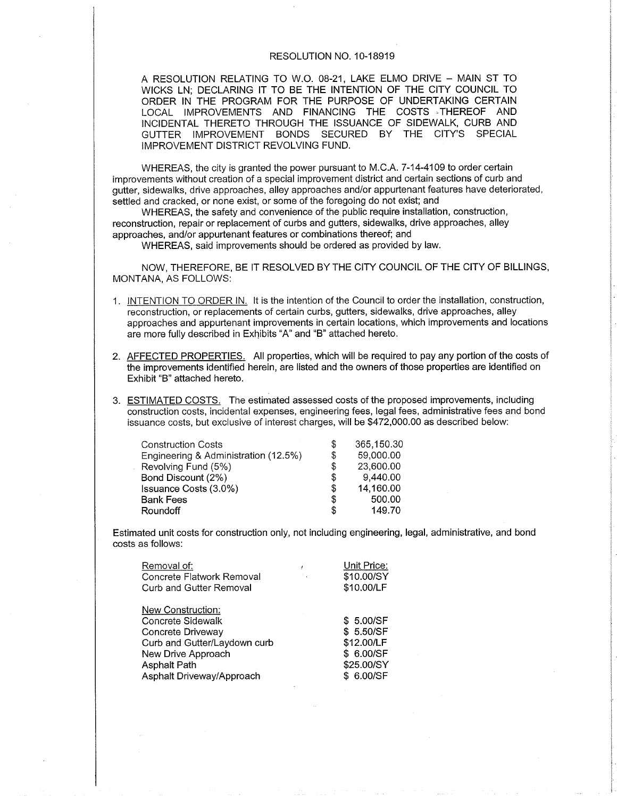## RESOLUTION NO. 10-18919

A RESOLUTION RELATING TO W.O. 08-21, LAKE ELMO DRIVE - MAIN ST TO WICKS LN: DECLARING lT TO BE THE INTENTION OF THE CITY COUNCIL TO ORDER IN THE PROGRAM FOR THE PURPOSE OF UNDERTAKING CERTAIN LOCAL IMPROVEMENTS AND FINANCING THE COSTS THEREOF AND INCIDENTAL THERETO THROUGH THE ISSUANCE OF SIDEWALK, CURB AND GUTTER IMPROVEMENT BONDS SECURED BY THE CITY'S SPECIAL IMPROVEMENT DISTRICT REVOLVING FUND.

WHEREAS, the city is granted the power pursuant to M.C.A. 7-14-4109 to order certain improvements without creation of a special improvement district and certain sections of curb and gutter, sidewalks, drive approaches, alley approaches and/or appurtenant features have deteriorated, settled and cracked, or none exist, or some of the foregoing do not exist; and

WHEREAS, the safety and convenience of the public require installation, construction, reconstruction, repair or replacement of curbs and gutters, sidewalks, drive approaches, alley approaches, and/or appurtenant features or combinations thereof; and

WHEREAS, said improvements should be ordered as provided by law.

NOW, THEREFORE, BE IT RESOLVED BY THE CITY COUNCIL OF THE CITY OF BILLINGS, MONTANA, AS FOLLOWS:

- <sup>1</sup>. INTENTION TO ORDER lN. lt is the intention of the Council to order the installation, construction, reconstruction, or replacements of certain curbs, gutters, sidewalks, drive approaches, alley approaches and appurtenant improvements in ceftain locations, which improvements and locations are more fully described in Exhibits "A" and "B" attached hereto.
- 2. AFFECTED PROPERTIES. All properties, which will be required to pay any pottion of the costs of the improvements identified herein, are listed and the owners of those properties are identified on Exhibit "8" attached hereto.
- 3. ESTIMATED COSTS. The estimated assessed costs of the proposed improvements, including construction costs, incidental expenses, engineering fees, legal fees, administrative fees and bond issuance costs, but exclusive of interest charges, will be \$472,000.00 as described below:

| <b>Construction Costs</b>            | S  | 365,150.30 |
|--------------------------------------|----|------------|
| Engineering & Administration (12.5%) | S  | 59,000.00  |
| Revolving Fund (5%)                  | S  | 23,600.00  |
| Bond Discount (2%)                   | \$ | 9,440.00   |
| Issuance Costs (3.0%)                | S  | 14,160.00  |
| <b>Bank Fees</b>                     | S  | 500.00     |
| <b>Roundoff</b>                      | S  | 149.70     |
|                                      |    |            |

Estimated unit costs for construction only, not including engineering, legal, administrative, and bond costs as follows:

| Removal of:                  | Unit Price: |
|------------------------------|-------------|
| Concrete Flatwork Removal    | \$10.00/SY  |
| Curb and Gutter Removal      | \$10.00/LF  |
| New Construction:            |             |
| Concrete Sidewalk            | \$ 5.00/SF  |
| Concrete Driveway            | \$ 5.50/SF  |
| Curb and Gutter/Laydown curb | \$12.00/LF  |
| New Drive Approach           | \$ 6.00/SF  |
| <b>Asphalt Path</b>          | \$25.00/SY  |
| Asphalt Driveway/Approach    | \$ 6.00/SF  |
|                              |             |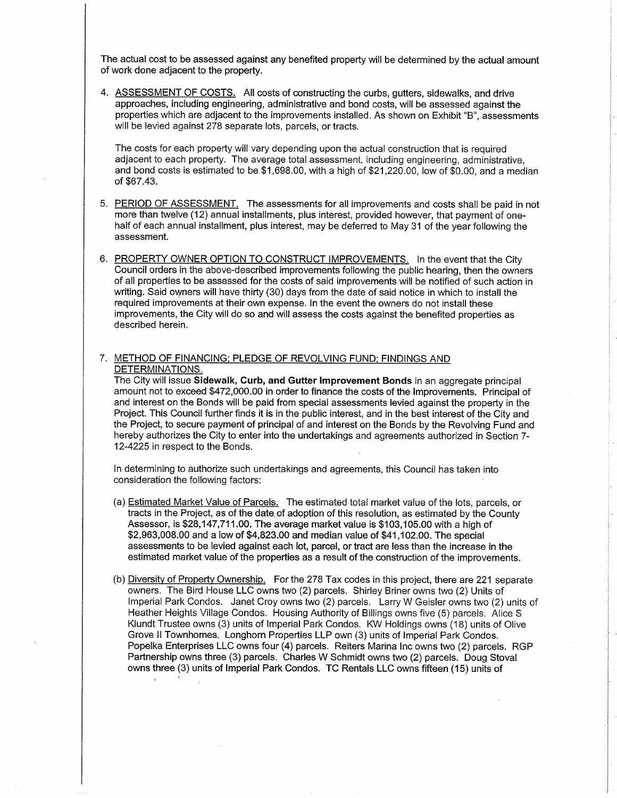The actual cost to be assessed against any benefited property will be determined by the actual amount of work done adjacent to the property.

4. ASSESSMENT OF COSTS. All costs of constructing the curbs, gutters, sidewalks, and drive approaches, including engineering, administrative and bond costs, will be assessed against the propefties which are adjacent to the improvements installed. As shown on Exhibit "8", assessments will be levied against 278 separate lots, parcels, or tracts.

The costs for each property will vary depending upon the actual construction that is required adjacent to each propefty. The average total assessment, including engineering, administrative, and bond costs is estimated to be \$1,698.00, with a high of \$21,220.00, low of \$0.00, and a median of \$67.43.

- 5. PERIOD OF ASSESSMENT. The assessments for all improvements and costs shall be paid in not more than twelve (12) annual installments, plus interest, provided however, that payment of onehalf of each annual installment, plus interest, may be deferred to May 31 of the year following the assessment.
- 6. PROPERTY OWNER OPTION TO CONSTRUCT IMPROVEMENTS. In the event that the City Council orders in the above-described improvements following the public hearing, then the owners of all propefties to be assessed for the costs of said improvements will be notified of such action in writing. Said owners will have thirty (30) days from the date of said notice in which to install the required improvements at their own expense. In the event the owners do not install these improvements, the City will do so and will assess the costs against the benefited propefties as described herein.
- 7. METHOD OF FINANCING: PLEDGE OF REVOLVING FUND: FINDINGS AND DETERMINATIONS.

The City will issue Sidewalk, Curb, and Gutter lmprovement Bonds in an aggregate principal amount not to exceed \$472,000.00 in order to finance the costs of the lmprovements. Principal of and interest on the Bonds will be paid from special assessments levied against the property in the Project. This Council further finds it is in the public interest, and in the best interest of the City and the Project, to secure payment of principal of and interest on the Bonds by the Revolving Fund and hereby authorizes the City to enter into the undertakings and agreements authorized in Section 7- 12-4225 in respect to the Bonds.

In determining to authorize such undefiakings and agreements, this Council has taken into consideration the following factors:

- (a) Estimated Market Value of Parcels. The estimated total market value of the lots, parcels, or tracts in the Project, as of the date, of adoption of this resolution, as estimated by the County Assessor, is \$28,147,711.00. The average market value is \$103,105.00 with a high of \$2,963,008.00 and a low of \$4,823.00 and median value of \$41,102.00. The special assessments to be levied against each lot, parcel, or tract are less than the increase in the estimated market value of the properties as a result of the construction of the improvements.
- (b) Diversitv of Propertv Ownership. For the 278Tax codes in this project, there are 221 separate owners. The Bird House LLC owns two (2) parcels. Shirley Briner owns two (2) Units of lmperial Park Condos. Janet Croy owns two (2) parcels. Larry W Geisler owns two (2) units of Heather Heights Village Condos. Housing Authority of Billings owns five (5) parcels. Alice S Klundt Trustee owns (3) units of lmperial Park Condos. KW Holdings owns ('18) units of Olive Grove ll Townhomes. Longhorn Properties LLP own (3) units of lmperial Park Condos. Popelka Enterprises LLC owns four (4) parcels. Reiters Marina lnc owns two (2) parcels. RGP Partnership owns three (3) parcels. Charles W Schmidt owns two (2) parcels. Doug Stoval owns three (3) units of lmperial Park Condos. TC Rentals LLC owns fifteen (15) units of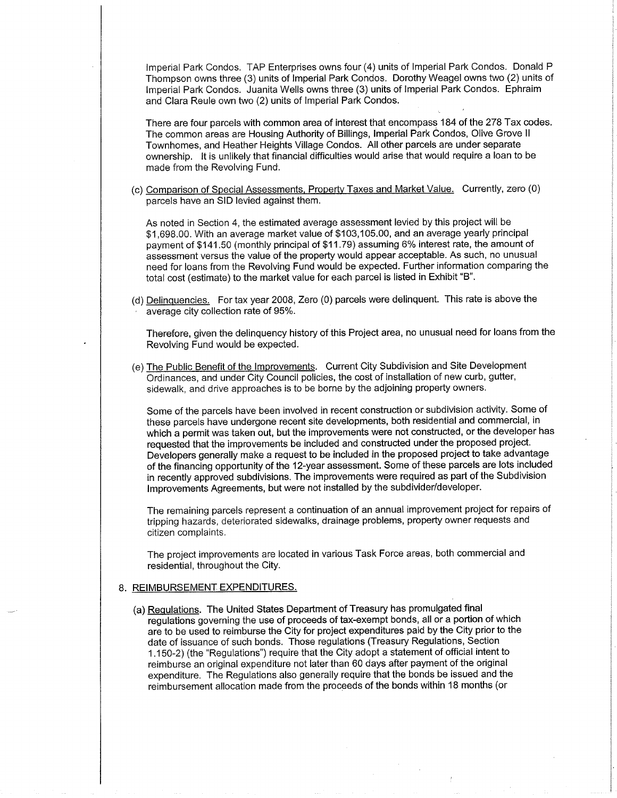lmperial Park Condos. TAP Enterprises owns four (4) units of lmperial Park Condos. Donald P Thompson owns three (3) units of lmperial Park Condos. Dorothy Weagel owns two (2) units of lmperial Park Condos. Juanita Wells owns three (3) units of lmperial Park Condos. Ephraim and Clara Reule own two (2) units of lmperial Park Condos.

There are four parcels with common area of interest that encompass 184 of the 278 Tax codes. The common areas are Housing Authority of Billings, lmperial Park Condos, Olive Grove ll Townhomes, and Heather Heights Village Condos. All other parcels are under separate ownership. lt is unlikely that financial difficulties would arise that would require a loan to be made from the Revolving Fund.

(c) Comparison of Soecial Assessments, Propertv Taxes and Market Value. Currently, zero (0) parcels have an SID levied against them.

As noted in Section 4, the estimated average assessment levied by this project will be \$1,698.00. With an average market value of \$103,105.00, and an average yearly principal payment of \$141.50 (monthly principal of \$11.79) assuming 6% interest rate, the amount of assessment versus the value of the property would appear acceptable. As such, no unusual need for loans from the Revolving Fund would be expected. Further information comparing the total cost (estimate) to the market value for each parcel is listed in Exhibit "B".

(d) Delinquencies. For tax year 2008, Zero (0) parcels were delinquent. This rate is above the average city collection rate of 95%.

Therefore, given the delinquency history of this Project area, no unusual need for loans from the Revolving Fund would be expected.

(e) The Public Benefit of the Improvements. Current City Subdivision and Site Development Ordinances, and under City Council policies, the cost of installation of new curb, gutter, sidewalk, and drive approaches is to be borne by the adjoining property owners.

Some of the parcels have been involved in recent construction or subdivision activity. Some of these parcels have undergone recent site developments, both residential and commercial, in which a permit was taken out, but the improvements were not constructed, or the developer has requested that the improvements be included and constructed under the proposed project. Developers generally make a request to be included in the proposed project to take advantage of the financing opportunity of the 12-year assessment. Some of these parcels are lots included in recently approved subdivisions. The improvements were required as part of the Subdivision lmprovements Agreements, but were not installed by the subdivider/developer.

The remaining parcels represent a continuation of an annual improvement project for repairs of tripping hazards, deteriorated sidewalks, drainage problems, property owner requests and citizen complaints.

The project improvements are located in various Task Force areas, both commercial and residential, throughout the CitY.

## 8. <u>REIMBURSEMENT EXPENDITURES</u>

(a) Requlations. The United States Department of Treasury has promulgated final regulations governing the use of proceeds of tax-exempt bonds, all or a poftion of which are to be used to reimburse the City for project expenditures paid by the City prior to the date of issuance of such bonds. Those regulations (Treasury Regulations, Section <sup>1</sup>.150-2) (the "Regulations") require that the City adopt a statement of official intent to reimburse an original expenditure not later than 60 days after payment of the original expenditure. The Regulations also generally require that the bonds be issued and the reimbursement allocation made from the proceeds of the bonds within l8 months (or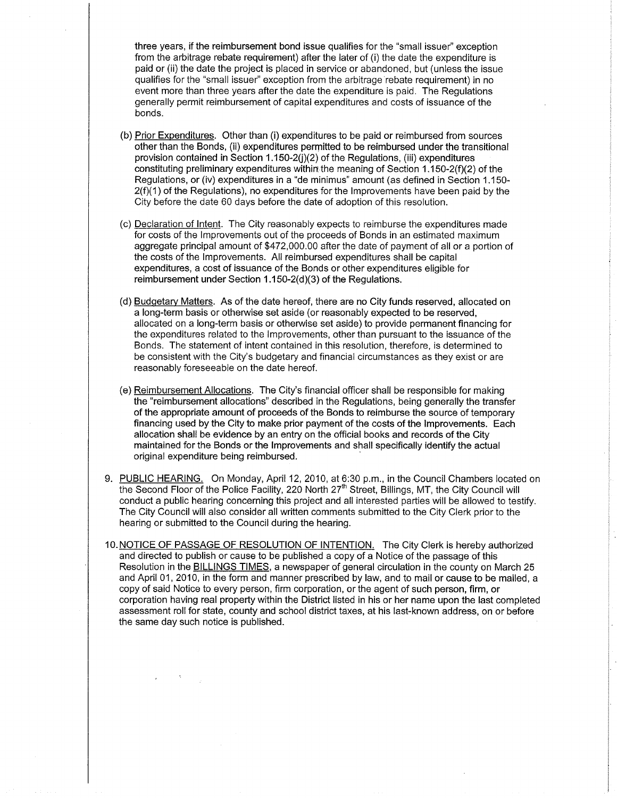three years, if the reimbursement bond issue qualifies for the "small issuer" exception from the arbitrage rebate requirement) after the later of (i) the date the expenditure is paid or (ii) the date the project is placed in service or abandoned, but (unless the issue qualifies forthe "small issuer" exception from the arbitrage rebate requirement) in no event more than three years after the date the expenditure is paid. The Regulations generally permit reimbursement of capital expenditures and costs of issuance of the bonds.

- (b) Prior Expenditures. Other than (i) expenditures to be paid or reimbursed from sources other than the Bonds, (ii) expenditures permitted to be reimbursed under the transitional provision contained in Section  $1.150-2(j)(2)$  of the Regulations, (iii) expenditures constituting preliminary expenditures wíthin the meaning of Section 1.150-2(f)(2) of the Regulations, or (iv) expenditures in a "de minimus" amount (as defined in Section 1.150-  $2(f)(1)$  of the Regulations), no expenditures for the Improvements have been paid by the City before the date 60 days before the date of adoption of this resolution.
- (c) Declaration of lntent. The City reasonably expects to reimburse the expenditures made for costs of the lmprovements out of the proceeds of Bonds in an estimated maximum aggregate principal amount of \$472,000.00 after the date of payment of all or a portion of the costs of the Improvements. All reimbursed expenditures shall be capital expenditures, a cost of issuance of the Bonds or other expenditures eligible for reimbursement under Section  $1.150 - 2(d)(3)$  of the Regulations.
- (d) Budqetarv Matters. As of the date hereof, there are no City funds reserved, allocated on a long-term basis or otherwise set aside (or reasonably expected to be reserved, allocated on a long-term basis or othenruise set aside) to provide permanent financing for the expenditures related to the lmprovements, other than pursuant to the issuance of the Bonds. The statement of intent contained in this resolution, therefore, is determined to be consistent with the City's budgetary and financial circumstances as they exist or are reasonably foreseeable on the date hereof.
- (e) Reimbursement Allocations. The City's financial officer shall be responsible for making the "reimbursement allocations" described in the Regulations, being generally the transfer of the appropriate amount of proceeds of the Bonds to reimburse the source of temporary financing used by the City to make prior payment of the costs of the lmprovements. Each allocation shall be evidence by an entry on the official books and records of the City maintained for the Bonds or the lmprovements and shall specifically identify the actual original expenditure being reimbursed.
- 9. PUBLIC HEARING. On Monday, April 12, 2010, at 6:30 p.m., in the Council Chambers located on the Second Floor of the Police Facility, 220 North 27<sup>th</sup> Street, Billings, MT, the City Council will conduct a public hearing concerning this project and all interested parties will be allowed to testify. The City Council will also consider all written comments submitted to the City Clerk prior to the hearing or submitted to the Council during the hearing.
- 10. NOTICE OF PASSAGE OF RESOLUTION OF INTENTION. The City Clerk is hereby authorized and directed to publish or cause to be published a copy of a Notice of the passage of this Resolution in the **BILLINGS TIMES**, a newspaper of general circulation in the county on March 25 and April 01 ,2010, in the form and manner prescribed by law, and to mail or cause to be mailed, a copy of said Notice to every person, firm corporation, or the agent of such person, firm, or corporation having real propefty within the District listed in his or her name upon the last completed assessment roll for state, county and school district tâxes, at his last-known address, on or before the same day such notice is published.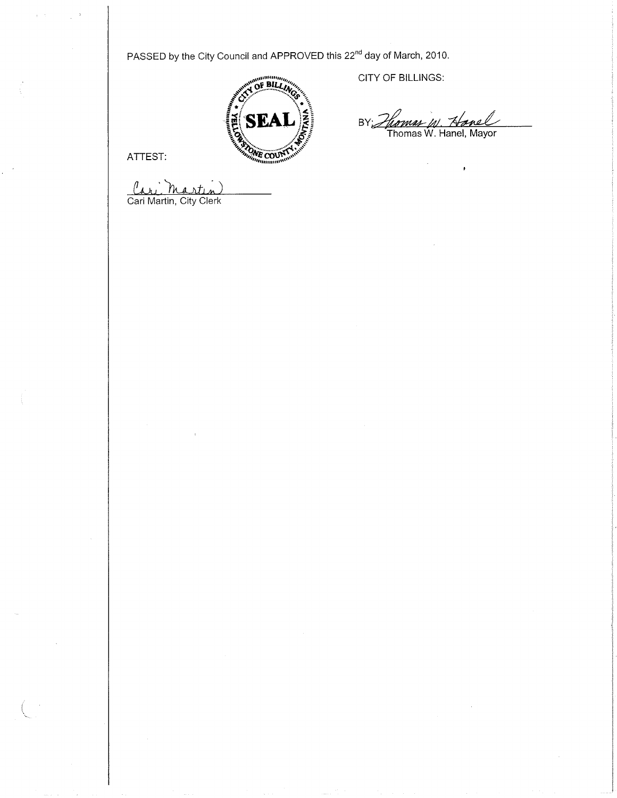PASSED by the City Council and APPROVED this 22<sup>nd</sup> day of March, 2010.



ATTEST:

 $\tau=1$ 

Cari Martin)

CITY OF BILLINGS:

 $BY:\mathcal{L}$ *Juomas W. Nanell*<br>Thomas W. Hanel, Mayor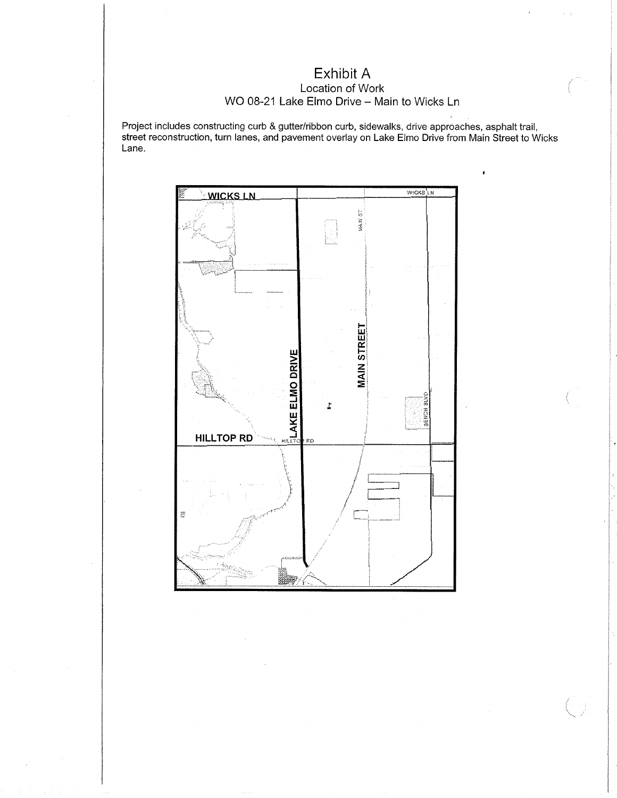## Exhibit A Location of Work WO 08-21 Lake Elmo Drive - Main to Wicks Ln

Project includes constructing curb & gutter/ribbon curb, sidewalks, drive approaches, asphalt trail,<br>street reconstruction, turn lanes, and pavement overlay on Lake Elmo Drive from Main Street to Wicks Lane.

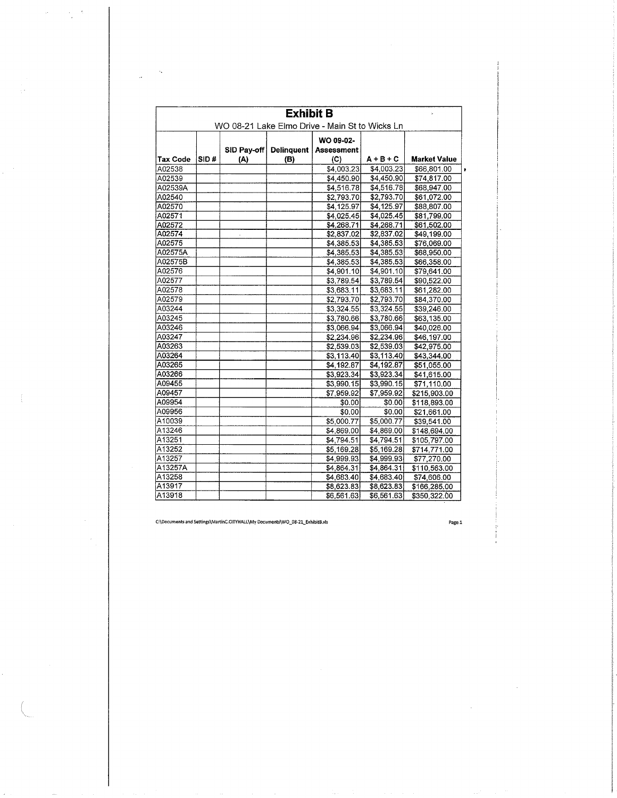|                 | <b>Exhibit B</b>                               |     |                        |                   |             |                     |  |  |  |
|-----------------|------------------------------------------------|-----|------------------------|-------------------|-------------|---------------------|--|--|--|
|                 | WO 08-21 Lake Elmo Drive - Main St to Wicks Ln |     |                        |                   |             |                     |  |  |  |
|                 |                                                |     |                        | WO 09-02-         |             |                     |  |  |  |
|                 |                                                |     | SID Pay-off Delinquent | <b>Assessment</b> |             |                     |  |  |  |
| <b>Tax Code</b> | SID#                                           | (A) | (B)                    | (C)               | $A + B + C$ | <b>Market Value</b> |  |  |  |
| A02538          |                                                |     |                        | \$4,003.23        | \$4,003.23  | \$66,801.00         |  |  |  |
| A02539          |                                                |     |                        | \$4,450.90        | \$4,450.90  | \$74,817.00         |  |  |  |
| A02539A         |                                                |     |                        | \$4,516.78        | \$4,516.78  | \$68,947.00         |  |  |  |
| A02540          |                                                |     |                        | \$2,793.70        | \$2,793.70  | \$61,072.00         |  |  |  |
| A02570          |                                                |     |                        | \$4.125.97        | \$4.125.97  | \$88,807.00         |  |  |  |
| A02571          |                                                |     |                        | \$4,025.45]       | \$4,025.45  | \$81,799.00         |  |  |  |
| A02572          |                                                |     |                        | \$4,268.71        | \$4,268.71  | \$61,502.00         |  |  |  |
| A02574          |                                                |     |                        | \$2,837.02        | \$2,837.02  | \$49.199.00         |  |  |  |
| A02575          |                                                |     |                        | \$4,385.53        | \$4,385.53  | \$76,069.00         |  |  |  |
| A02575A         |                                                |     |                        | \$4,385.53        | \$4,385.53  | \$68,950.00         |  |  |  |
| A02575B         |                                                |     |                        | \$4,385.53        | \$4,385.53  | \$66,358.00         |  |  |  |
| A02576          |                                                |     |                        | \$4,901.10        | \$4,901.10  | \$79,641.00         |  |  |  |
| A02577          |                                                |     |                        | \$3,789.54        | \$3,789.54  | \$90,522.00         |  |  |  |
| A02578          |                                                |     |                        | \$3,683.11        | \$3,683.11  | \$61,282.00         |  |  |  |
| A02579          |                                                |     |                        | \$2,793.70        | \$2,793.70  | \$84.370.00         |  |  |  |
| A03244          |                                                |     |                        | \$3.324.55        | \$3.324.55  | \$39,246.00         |  |  |  |
| A03245          |                                                |     |                        | \$3,780.66        | \$3,780.66  | \$63,135.00         |  |  |  |
| A03246          |                                                |     |                        | \$3,066.94        | \$3,066.94  | \$40,026.00         |  |  |  |
| A03247          |                                                |     |                        | \$2,234.96        | \$2,234.96  | \$46,197.00         |  |  |  |
| A03263          |                                                |     |                        | \$2,539.03        | \$2,539.03  | \$42,975.00         |  |  |  |
| A03264          |                                                |     |                        | \$3,113.40        | \$3,113.40  | \$43,344.00         |  |  |  |
| A03265          |                                                |     |                        | \$4,192.87        | \$4,192.87  | \$51,055.00         |  |  |  |
| A03266          |                                                |     |                        | \$3.923.34        | \$3,923.34  | \$41,615.00         |  |  |  |
| A09455          |                                                |     |                        | \$3.990.15        | \$3,990.15  | \$71,110.00         |  |  |  |
| A09457          |                                                |     |                        | \$7,959.92        | \$7,959.92  | \$215,903.00        |  |  |  |
| A09954          |                                                |     |                        | \$0.00            | \$0.00      | \$118,893.00        |  |  |  |
| A09956          |                                                |     |                        | \$0.00            | \$0.00      | \$21,661.00         |  |  |  |
| A10039          |                                                |     |                        | \$5,000.77        | \$5,000.77  | \$39,541.00         |  |  |  |
| A13246          |                                                |     |                        | \$4,869.00        | \$4,869.00  | \$148,694.00        |  |  |  |
| A13251          |                                                |     |                        | \$4,794.51        | \$4,794.51  | \$105,797.00        |  |  |  |
| A13252          |                                                |     |                        | \$5,169.28        | \$5,169.28  | \$714,771.00        |  |  |  |
| A13257          |                                                |     |                        | \$4,999.93        | \$4,999.93  | \$77,270.00         |  |  |  |
| A13257A         |                                                |     |                        | \$4,864.31        | \$4,864.31  | \$110,563.00        |  |  |  |
| A13258          |                                                |     |                        | \$4,683,40        | \$4,683.40  | \$74,606.00         |  |  |  |
| A13917          |                                                |     |                        | \$8,623.83        | \$8,623.83  | \$166,285.00        |  |  |  |
| A13918          |                                                |     |                        | \$6,561.63        | \$6,561.63  | \$350,322.00        |  |  |  |

 $\bar{\bar{z}}$ 

 $\epsilon$  $\frac{1}{2}$ 

Page 1

 $\bar{\bar{z}}$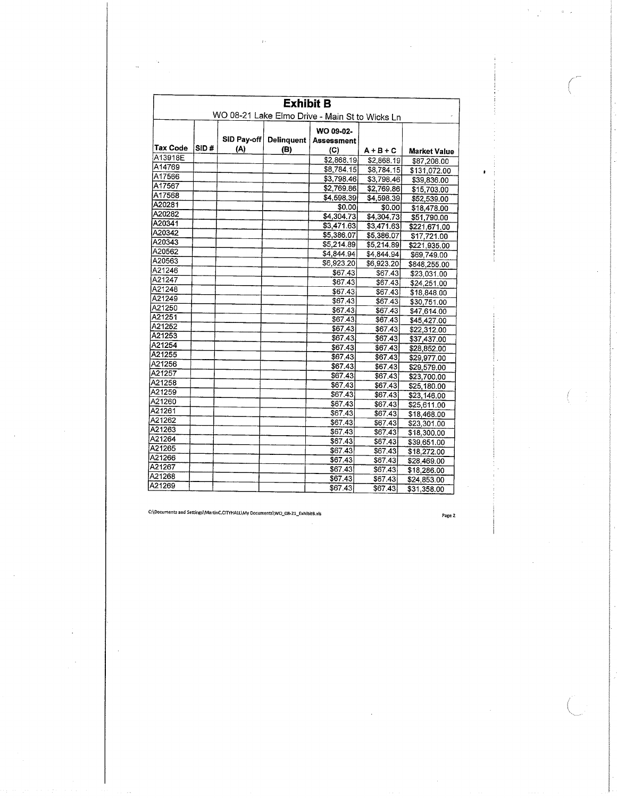|                                                | <b>Exhibit B</b> |                    |            |                   |             |                     |  |  |
|------------------------------------------------|------------------|--------------------|------------|-------------------|-------------|---------------------|--|--|
| WO 08-21 Lake Elmo Drive - Main St to Wicks Ln |                  |                    |            |                   |             |                     |  |  |
|                                                |                  |                    |            | WO 09-02-         |             |                     |  |  |
| <b>Tax Code</b>                                | SID #            | SID Pay-off<br>(A) | Delinquent | <b>Assessment</b> |             |                     |  |  |
| A13918E                                        |                  |                    | (B)        | (C)               | $A + B + C$ | <b>Market Value</b> |  |  |
| A14769                                         |                  |                    |            | \$2,868,19        | \$2,868.19  | \$87,208.00         |  |  |
| A17566                                         |                  |                    |            | \$8,784.15        | \$8,784.15  | \$131,072.00        |  |  |
| A17567                                         |                  |                    |            | \$3,798.46        | \$3,798.46  | \$39,836.00         |  |  |
| A17568                                         |                  |                    |            | \$2,769.86        | \$2,769.86  | \$15,703.00         |  |  |
| A20281                                         |                  |                    |            | \$4,598.39        | \$4,598.39  | \$52,539.00         |  |  |
| A20282                                         |                  |                    |            | \$0.00            | \$0.00      | \$18,478.00         |  |  |
| A20341                                         |                  |                    |            | \$4,304.73        | \$4,304.73  | \$51,790.00         |  |  |
| A20342                                         |                  |                    |            | \$3,471.63        | \$3,471.63  | \$221,671.00        |  |  |
| A20343                                         |                  |                    |            | \$5,386.07        | \$5,386.07  | \$17,721.00         |  |  |
| A20562                                         |                  |                    |            | \$5,214.89        | \$5,214.89  | \$221,935.00        |  |  |
| A20563                                         |                  |                    |            | \$4,844.94        | \$4,844.94] | \$69,749.00         |  |  |
|                                                |                  |                    |            | \$6,923.20        | \$6,923.20  | \$848,255.00        |  |  |
| A21246                                         |                  |                    |            | \$67.43           | 367.43      | \$23,031.00         |  |  |
| A21247                                         |                  |                    |            | \$67.43           | \$67.43     | \$24,251.00         |  |  |
| A21248                                         |                  |                    |            | \$67.43           | \$67.43     | \$18,848.00         |  |  |
| A21249                                         |                  |                    |            | \$67,43           | \$67.43     | \$30,751.00         |  |  |
| A21250                                         |                  |                    |            | \$67.43           | \$67.43     | \$47,614.00         |  |  |
| A21251                                         |                  |                    |            | \$67.43           | \$67.43     | \$45,427.00         |  |  |
| A21252                                         |                  |                    |            | \$67.43           | \$67.43     | \$22,312.00         |  |  |
| A21253                                         |                  |                    |            | \$67.43           | \$67.43     | \$37,437.00         |  |  |
| A21254                                         |                  |                    |            | \$67.43           | \$67.43     | \$28,852.00         |  |  |
| A21255                                         |                  |                    |            | \$67.43           | \$67.43     | \$29,977.00         |  |  |
| A21256                                         |                  |                    |            | \$67.43           | \$67.43     | \$29,579.00         |  |  |
| A21257                                         |                  |                    |            | \$67.43           | \$67.43     | \$23,700.00         |  |  |
| A21258                                         |                  |                    |            | \$67.43           | \$67,43     | \$25,180.00         |  |  |
| A21259                                         |                  |                    |            | \$67.43           | \$67.43     | \$23,146.00         |  |  |
| A21260                                         |                  |                    |            | \$67.43           | \$67.43     | \$25,611.00         |  |  |
| A21261                                         |                  |                    |            | \$67.43           | \$67.43     | \$18,468.00         |  |  |
| A21262                                         |                  |                    |            | \$67.43           | \$67.43     | \$23,301.00         |  |  |
| A21263                                         |                  |                    |            | \$67.43           | \$67.43     | \$18,300.00         |  |  |
| A21264                                         |                  |                    |            | \$67.43           | \$67.43     | \$39,651.00         |  |  |
| A21265                                         |                  |                    |            | \$67.43           | \$67.43     | \$18,272.00         |  |  |
| A21266                                         |                  |                    |            | \$67.43           | \$67.43     | \$28,469.00         |  |  |
| A21267                                         |                  |                    |            | \$67.43           | \$67.43     | \$18,286.00         |  |  |
| A21268                                         |                  |                    |            | \$67.43           | \$67.43     | \$24,853.00         |  |  |
| A21269                                         |                  |                    |            | \$67.43           | \$67.43     | \$31,358.00         |  |  |

Page 2

 $\Omega^+$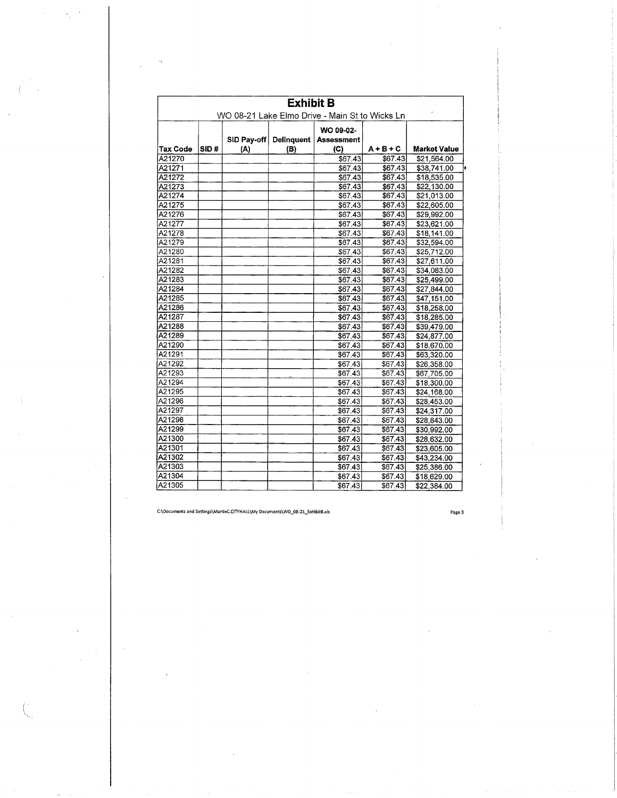|                 | <b>Exhibit B</b><br>WO 08-21 Lake Elmo Drive - Main St to Wicks Ln |             |                   |                                |             |                     |  |  |
|-----------------|--------------------------------------------------------------------|-------------|-------------------|--------------------------------|-------------|---------------------|--|--|
|                 |                                                                    | SID Pay-off | <b>Delinquent</b> | WO 09-02-<br><b>Assessment</b> |             |                     |  |  |
| <b>Tax Code</b> | SID#                                                               | (A)         | (B)               | (C)                            | $A + B + C$ | <b>Market Value</b> |  |  |
| A21270          |                                                                    |             |                   | \$67.43                        | \$67.43     | \$21,564.00         |  |  |
| A21271          |                                                                    |             |                   | \$67.43                        | \$67.43     | \$38,741.00         |  |  |
| A21272          |                                                                    |             |                   | \$67.43                        | \$67.43     | \$18,535.00         |  |  |
| A21273          |                                                                    |             |                   | \$67.43                        | \$67.43     | \$22,130.00         |  |  |
| A21274          |                                                                    |             |                   | \$67.43                        | \$67.43     | \$21,013.00         |  |  |
| A21275          |                                                                    |             |                   | \$67,43                        | \$67.43     | \$22,605.00         |  |  |
| A21276          |                                                                    |             |                   | \$67.43                        | \$67.43     | \$29,992.00         |  |  |
| A21277          |                                                                    |             |                   | \$67.43                        | \$67.43     | \$23,621.00         |  |  |
| A21278          |                                                                    |             |                   | \$67.43                        | \$67.43     | \$18,141.00         |  |  |
| A21279          |                                                                    |             |                   | \$67.43                        | \$67.43     | \$32,594.00         |  |  |
| A21280          |                                                                    |             |                   | \$67.43                        | \$67.43     | \$25,712.00         |  |  |
| A21281          |                                                                    |             |                   | \$67.43                        | \$67.43     | \$27,611.00         |  |  |
| A21282          |                                                                    |             |                   | \$67.43                        | \$67.43     | \$34,083.00         |  |  |
| A21283          |                                                                    |             |                   | \$67.43                        | \$67.43     | \$25,499.00         |  |  |
| A21284          |                                                                    |             |                   | \$67.43                        | \$67.43     | \$27,844.00         |  |  |
| A21285          |                                                                    |             |                   | \$67.43                        | \$67.43     | \$47.151.00         |  |  |
| A21286          |                                                                    |             |                   | \$67.43                        | \$67.43     | \$18,258,00         |  |  |
| A21287          |                                                                    |             |                   | \$67.43                        | \$67.43     | \$18,285.00         |  |  |
| A21288          |                                                                    |             |                   | \$67.43                        | \$67.43     | \$39,479.00         |  |  |
| A21289          |                                                                    |             |                   | \$67.43                        | \$67.43     | \$24,877.00         |  |  |
| A21290          |                                                                    |             |                   | \$67.43                        | \$67.43     | \$18,670.00         |  |  |
| A21291          |                                                                    |             |                   | \$67.43                        | \$67.43     | \$63,320.00         |  |  |
| A21292          |                                                                    |             |                   | \$67.43                        | \$67.43     | \$26,358.00         |  |  |
| A21293          |                                                                    |             |                   | \$67.43                        | \$67.43     | \$67,705.00         |  |  |
| A21294          |                                                                    |             |                   | \$67.43                        | \$67.43     | \$18,300.00         |  |  |
| A21295          |                                                                    |             |                   | \$67.43                        | \$67.43     | \$24,168.00         |  |  |
| A21296          |                                                                    |             |                   | \$67.43                        | \$67.43     | \$28,453.00         |  |  |
| A21297          |                                                                    |             |                   | \$67.43                        | \$67.43     | \$24,317.00         |  |  |
| A21298          |                                                                    |             |                   | \$67.43                        | \$67.43     | \$28,843.00         |  |  |
| A21299          |                                                                    |             |                   | \$67.43                        | \$67.43     | \$30,992.00         |  |  |
| A21300          |                                                                    |             |                   | \$67.43                        | \$67.43     | \$28,632.00         |  |  |
| A21301          |                                                                    |             |                   | \$67.43                        | \$67.43     | \$23,605.00         |  |  |
| A21302          |                                                                    |             |                   | \$67.43                        | \$67.43     | \$43,234.00         |  |  |
| A21303          |                                                                    |             |                   | \$67.43                        | \$67.43     | \$25,386.00         |  |  |
| A21304          |                                                                    |             |                   | \$67.43                        | \$67.43     | \$18,629.00         |  |  |
| A21305          |                                                                    |             |                   | \$67.43                        | \$67.43     | \$22,384.00         |  |  |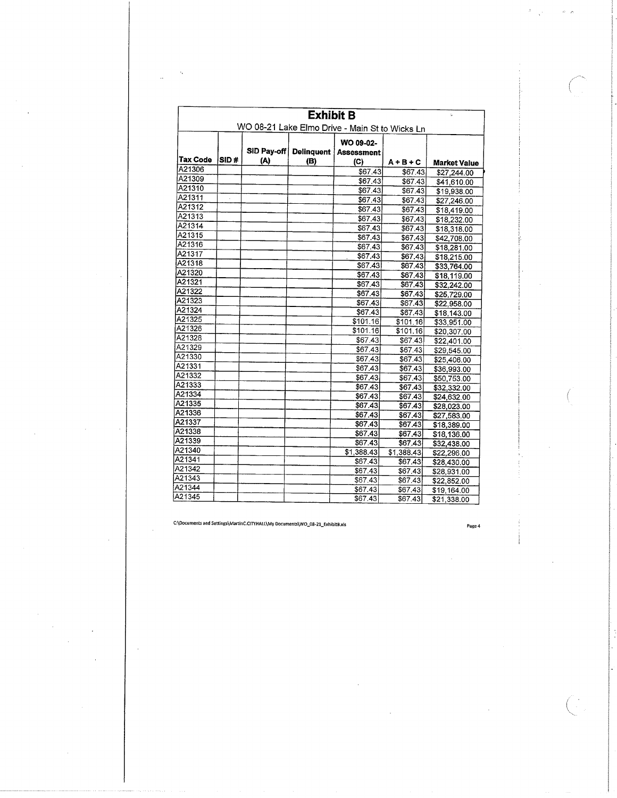|          | <b>Exhibit B</b>                               |                    |                   |                                |                        |                     |  |  |  |
|----------|------------------------------------------------|--------------------|-------------------|--------------------------------|------------------------|---------------------|--|--|--|
|          | WO 08-21 Lake Elmo Drive - Main St to Wicks Ln |                    |                   |                                |                        |                     |  |  |  |
| Tax Code | SID#                                           | SID Pay-off<br>(A) | Delinquent<br>(B) | WO 09-02-<br><b>Assessment</b> |                        |                     |  |  |  |
| A21306   |                                                |                    |                   | (C)                            | $A + B + C$            | <b>Market Value</b> |  |  |  |
| A21309   |                                                |                    |                   | \$67.43                        | \$67.43                | \$27,244.00         |  |  |  |
| A21310   |                                                |                    |                   | \$67.43                        | \$67.43                | \$41,610.00         |  |  |  |
| A21311   | à.                                             |                    |                   | \$67.43                        | \$67.43                | \$19,938.00         |  |  |  |
| A21312   |                                                |                    |                   | \$67.43]                       | \$67.43                | \$27,246.00         |  |  |  |
| A21313   |                                                |                    |                   | \$67.43                        | \$67.43                | \$18,419.00         |  |  |  |
| A21314   |                                                |                    |                   | \$67.43                        | \$67.43                | \$18,232.00         |  |  |  |
| A21315   |                                                |                    |                   | \$67.43                        | \$67,43                | \$18,318.00         |  |  |  |
| A21316   |                                                |                    |                   | \$67.43                        | \$67.43                | \$42,708.00         |  |  |  |
| A21317   |                                                |                    |                   | \$67.43                        | \$67.43                | \$18,281.00         |  |  |  |
| A21318   |                                                |                    |                   | \$67.43                        | \$67.43                | \$18,215.00         |  |  |  |
| A21320   |                                                |                    |                   | \$67,43                        | \$67.43                | \$33,764.00         |  |  |  |
| A21321   |                                                |                    |                   | \$67.43                        | \$67.43                | \$18,119.00         |  |  |  |
|          |                                                |                    |                   | \$67.43                        | \$67.43                | \$32,242.00         |  |  |  |
| A21322   |                                                |                    |                   | \$67.43                        | \$67.43                | \$25,729.00         |  |  |  |
| A21323   |                                                |                    |                   | \$67.43]                       | \$67.43                | \$22,958.00         |  |  |  |
| A21324   |                                                |                    |                   | \$67,43                        | \$67.43                | \$18,143.00         |  |  |  |
| A21325   |                                                |                    |                   | \$101.16]                      | \$101.16               | \$33,951.00         |  |  |  |
| A21326   |                                                |                    |                   | \$101.16                       | \$101.16               | \$20,307.00         |  |  |  |
| A21328   |                                                |                    |                   | \$67.43                        | \$67.43                | \$22,401.00         |  |  |  |
| A21329   |                                                |                    |                   | \$67.43                        | \$67.43                | \$29,545.00         |  |  |  |
| A21330   |                                                |                    |                   | \$67.43                        | \$67.43                | \$25,406.00         |  |  |  |
| A21331   |                                                |                    |                   | \$67.43                        | \$67.43                | \$36,993.00         |  |  |  |
| A21332   |                                                |                    |                   | \$67.43                        | \$67.43                | \$50,753.00         |  |  |  |
| A21333   |                                                |                    |                   | \$67.43                        | \$67.43                | \$32,332.00         |  |  |  |
| A21334   |                                                |                    |                   | \$67.43                        | \$67.43                | \$24,632.00         |  |  |  |
| A21335   |                                                |                    |                   | \$67.43                        | \$67.43                | \$28,023.00         |  |  |  |
| A21336   |                                                |                    |                   | \$67.43                        | \$67.43                | \$27,583.00         |  |  |  |
| A21337   |                                                |                    |                   | \$67.43                        | \$67.43                | \$18,389.00         |  |  |  |
| A21338   |                                                |                    |                   | \$67.43                        | \$67,43                | \$18,136.00         |  |  |  |
| A21339   |                                                |                    |                   | \$67.43                        | \$67.43                | \$32,438.00         |  |  |  |
| A21340   |                                                |                    |                   | \$1,388.43                     | $\overline{31,388.43}$ | \$22,296.00         |  |  |  |
| A21341   |                                                |                    |                   | \$67.43                        | \$67.43                | \$28,430.00         |  |  |  |
| A21342   |                                                |                    |                   | \$67.43                        | 367.43                 | \$28,931.00         |  |  |  |
| A21343   |                                                |                    |                   | \$67.43                        | \$67.43                | \$22,852.00         |  |  |  |
| A21344   |                                                |                    |                   | \$67,43                        | \$67.43                | \$19,164,00         |  |  |  |
| A21345   |                                                |                    |                   | \$67.43]                       | \$67.43                | \$21,338.00         |  |  |  |

 $\bar{z}$ 

 $\ddot{\phantom{a}}$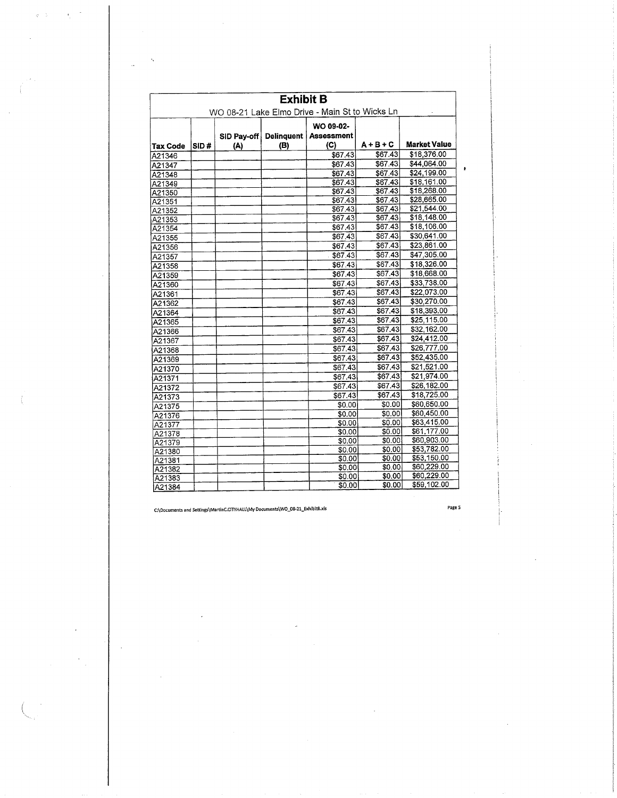|                 | <b>Exhibit B</b><br>WO 08-21 Lake Elmo Drive - Main St to Wicks Ln |     |     |                                       |             |              |  |  |
|-----------------|--------------------------------------------------------------------|-----|-----|---------------------------------------|-------------|--------------|--|--|
|                 |                                                                    |     |     |                                       |             |              |  |  |
|                 |                                                                    |     |     | WO 09-02-                             |             |              |  |  |
|                 |                                                                    |     |     | SID Pay-off   Delinquent   Assessment |             |              |  |  |
| <b>Tax Code</b> | SID#                                                               | (A) | (B) | (C)                                   | $A + B + C$ | Market Value |  |  |
| A21346          |                                                                    |     |     | \$67.43                               | \$67.43     | \$18,376.00  |  |  |
| A21347          |                                                                    |     |     | \$67.43                               | \$67.43     | \$44,064.00  |  |  |
| A21348          |                                                                    |     |     | \$67.43                               | \$67.43     | \$24,199.00  |  |  |
| A21349          |                                                                    |     |     | \$67.43                               | \$67.43     | \$18,161.00  |  |  |
| A21350          |                                                                    |     |     | \$67.43                               | \$67.43     | \$18,268.00  |  |  |
| A21351          |                                                                    |     |     | \$67.43                               | \$67.43     | \$28,665.00  |  |  |
| A21352          |                                                                    |     |     | \$67.43                               | \$67.43     | \$21,544.00  |  |  |
| A21353          |                                                                    |     |     | \$67.43                               | \$67.43     | \$18,148.00  |  |  |
| A21354          |                                                                    |     |     | \$67,43                               | \$67.43     | \$18,106.00  |  |  |
| A21355          |                                                                    |     |     | \$67.43                               | \$67.43     | \$30,641.00  |  |  |
| A21356          |                                                                    |     |     | \$67.43                               | \$67.43     | \$23,861.00  |  |  |
| A21357          |                                                                    |     |     | \$67.43                               | \$67.43     | \$47,305.00  |  |  |
| A21358          |                                                                    |     |     | \$67.43                               | \$67.43     | \$18,326.00  |  |  |
| A21359          |                                                                    |     |     | \$67.43                               | \$67.43     | \$18,668.00  |  |  |
| A21360          |                                                                    |     |     | \$67.43                               | \$67.43     | \$33,738.00  |  |  |
| A21361          |                                                                    |     |     | \$67.43                               | \$67.43     | \$22,073.00  |  |  |
| A21362          |                                                                    |     |     | \$67.43                               | \$67.43     | \$30,270.00  |  |  |
| A21364          |                                                                    |     |     | \$67.43                               | \$67.43     | \$18,393.00  |  |  |
| A21365          |                                                                    |     |     | \$67.43                               | \$67.43     | \$25,115.00  |  |  |
| A21366          |                                                                    |     |     | \$67.43                               | \$67,43     | \$32,162.00  |  |  |
| A21367          |                                                                    |     |     | \$67.43                               | \$67.43     | \$24,412.00  |  |  |
| A21368          |                                                                    |     |     | \$67.43                               | \$67.43     | \$26,777.00  |  |  |
| A21369          |                                                                    |     |     | \$67.43                               | \$67.43     | \$52,435.00  |  |  |
| A21370          |                                                                    |     |     | \$67.43                               | \$67.43     | \$21,521.00  |  |  |
| A21371          |                                                                    |     |     | \$67.43                               | \$67.43     | \$21,974.00  |  |  |
| A21372          |                                                                    |     |     | \$67.43                               | \$67.43     | \$26,182.00  |  |  |
| A21373          |                                                                    |     |     | \$67.43                               | \$67.43     | \$18,725.00  |  |  |
| A21375          |                                                                    |     |     | \$0.00                                | \$0.00      | \$60,650.00  |  |  |
| A21376          |                                                                    |     |     | \$0.00                                | \$0.00      | \$60,450.00  |  |  |
| A21377          |                                                                    |     |     | \$0.00                                | \$0.00      | \$63,415.00  |  |  |
| A21378          |                                                                    |     |     | \$0.00                                | \$0.00      | \$61,177.00  |  |  |
| A21379          |                                                                    |     |     | \$0.00                                | \$0.00      | \$60,903.00  |  |  |
| A21380          |                                                                    |     |     | \$0.00                                | \$0.00      | \$53,782.00  |  |  |
| A21381          |                                                                    |     |     | \$0.00                                | \$0.00      | \$53,150.00  |  |  |
| A21382          |                                                                    |     |     | \$0.00                                | \$0.00      | \$60,229.00  |  |  |
| A21383          |                                                                    |     |     | \$0.00                                | \$0.00      | \$60,229.00  |  |  |
| A21384          |                                                                    |     |     | \$0.00                                | \$0.00      | \$59,102.00  |  |  |

Page 5

÷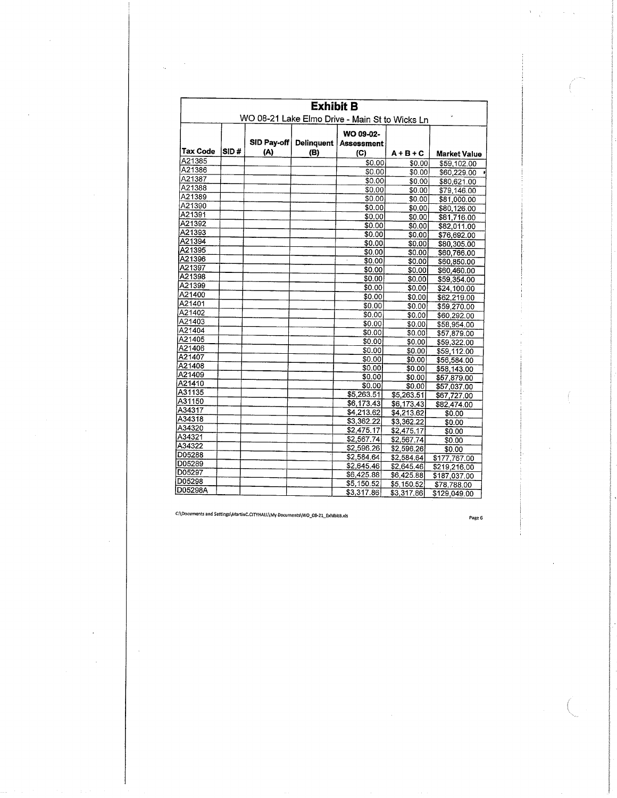| <b>Exhibit B</b>                                            |      |                    |                   |                          |                   |              |  |
|-------------------------------------------------------------|------|--------------------|-------------------|--------------------------|-------------------|--------------|--|
| WO 08-21 Lake Elmo Drive - Main St to Wicks Ln<br>WO 09-02- |      |                    |                   |                          |                   |              |  |
| Tax Code                                                    | SID# | SID Pay-off<br>(A) | Delinquent<br>(B) | <b>Assessment</b><br>(C) | $A + B + C$       | Market Value |  |
| A21385                                                      |      |                    |                   | \$0.00                   | \$0.00            | \$59,102.00  |  |
| A21386                                                      |      |                    |                   | \$0.00                   | \$0.00            | \$60,229,00  |  |
| A21387                                                      |      |                    |                   | \$0.00                   | \$0.00            | \$80,621.00  |  |
| A21388                                                      |      |                    |                   | \$0.00                   | \$0.00            | \$79,146.00  |  |
| A21389                                                      |      |                    |                   | \$0.00                   | \$0.00            | \$81,000.00  |  |
| A21390                                                      |      |                    |                   | \$0.00                   | \$0.00            | \$80,126.00  |  |
| A21391                                                      |      |                    |                   | \$0.00                   | \$0.00            | \$81,716.00  |  |
| A21392                                                      |      |                    |                   | \$0.00                   | \$0.00            | \$82,011.00  |  |
| A21393                                                      |      |                    |                   | \$0.00                   | \$0.00            | \$76,692.00  |  |
| A21394                                                      |      |                    |                   | \$0.00                   | \$0.00            | \$80,305.00  |  |
| A21395                                                      |      |                    |                   | \$0.00                   | \$0.00            | \$60,766.00  |  |
| A21396                                                      |      |                    |                   | \$0.00                   | \$0.00            | \$60,850.00  |  |
| A21397                                                      |      |                    |                   | \$0.00                   | \$0.00            | \$60,460.00  |  |
| A21398                                                      |      |                    |                   | \$0.00                   | \$0.00            | \$59,354.00  |  |
| A21399                                                      |      |                    |                   | \$0.00                   | \$0.00            | \$24,100.00  |  |
| A21400                                                      |      |                    |                   | \$0.00                   | \$0.00            | \$62,219.00  |  |
| A21401                                                      |      |                    |                   | \$0.00                   | \$0.00            | \$59,270.00  |  |
| A21402                                                      |      |                    |                   | \$0.00                   | \$0.00            | \$60,292.00  |  |
| A21403                                                      |      |                    |                   | \$0.00                   | \$0.00            | \$58,954.00  |  |
| A21404                                                      |      |                    |                   | \$0.00                   | \$0.00            | \$57,879.00  |  |
| A21405                                                      |      |                    |                   | \$0.00                   | \$0.00            | \$59,322.00  |  |
| A21406                                                      |      |                    |                   | \$0.00                   | \$0.00            | \$59,112.00  |  |
| A21407                                                      |      |                    |                   | \$0.00                   | \$0.00            | \$56,584.00  |  |
| A21408                                                      |      |                    |                   | \$0.00                   | \$0.00            | \$58,143.00  |  |
| A21409                                                      |      |                    |                   | \$0.00                   | \$0.00            | \$57,879.00  |  |
| A21410                                                      |      |                    |                   | \$0.00                   | \$0.00            | \$57,037.00  |  |
| A31135                                                      |      |                    |                   | \$5,263.51               | \$5,263.51        | \$67,727.00  |  |
| A31150                                                      |      |                    |                   | \$6,173.43               | \$6,173.43        | \$82,474.00  |  |
| A34317                                                      |      |                    |                   | \$4,213.62               | $\sqrt{4,213.62}$ | \$0.00       |  |
| A34318                                                      |      |                    |                   | \$3,362.22               | \$3,362.22        | \$0.00       |  |
| A34320                                                      |      |                    |                   | \$2,475.17               | \$2,475.17        | \$0.00       |  |
| A34321                                                      |      |                    |                   | \$2,567.74               | \$2,567.74        | \$0.00       |  |
| A34322                                                      |      |                    |                   | \$2,596.26               | \$2,596.26        | \$0.00       |  |
| D05288                                                      |      |                    |                   | \$2,584.64               | \$2,584.64        | \$177,767.00 |  |
| D05289                                                      |      |                    |                   | \$2,645.46               | \$2,645.46        | \$219,216.00 |  |
| D05297                                                      |      |                    |                   | \$6,425.88               | \$6,425.88        | \$187,037.00 |  |
| D05298                                                      |      |                    |                   | \$5,150.52               | \$5,150.52        | \$78,788.00  |  |
| D05298A                                                     |      |                    |                   | \$3,317.86               | \$3,317.86        | \$129,049.00 |  |

 $\sim$ 

Page 6

 $\overline{a}$ 

 $\mathcal{F}=\frac{1}{2} \mathcal{F}$  .

 $\sim m_{\rm c}$  ,  $\sim$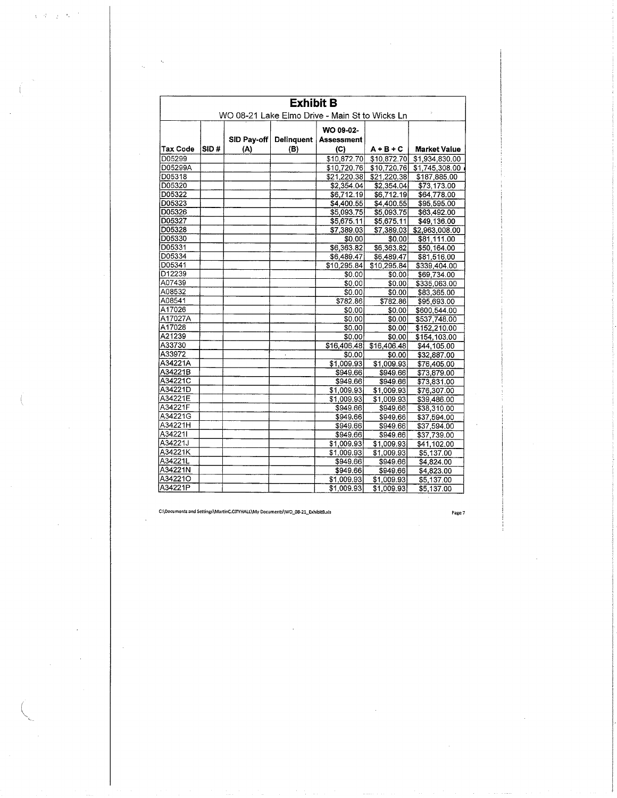| <b>Exhibit B</b> |                                                |             |                   |                   |             |                     |  |  |  |
|------------------|------------------------------------------------|-------------|-------------------|-------------------|-------------|---------------------|--|--|--|
|                  | WO 08-21 Lake Elmo Drive - Main St to Wicks Ln |             |                   |                   |             |                     |  |  |  |
|                  |                                                |             |                   | WO 09-02-         |             |                     |  |  |  |
|                  |                                                | SID Pay-off | <b>Delinquent</b> | <b>Assessment</b> |             |                     |  |  |  |
| <b>Tax Code</b>  | SID#                                           | (A)         | (B)               | (C)               | $A + B + C$ | <b>Market Value</b> |  |  |  |
| D05299           |                                                |             |                   | \$10,872.70       | \$10,872.70 | \$1,934,830.00      |  |  |  |
| D05299A          |                                                |             |                   | \$10,720.76       | \$10,720.76 | \$1,745,308.00      |  |  |  |
| D05318           |                                                |             |                   | \$21,220.38       | \$21,220.38 | \$187,885.00        |  |  |  |
| D05320           |                                                |             |                   | \$2,354.04        | \$2,354.04  | \$73.173.00         |  |  |  |
| D05322           |                                                |             |                   | \$6,712.19        | \$6,712.19  | \$64,778.00         |  |  |  |
| D05323           |                                                |             |                   | \$4.400.55        | \$4,400.55  | \$95,595.00         |  |  |  |
| D05326           |                                                |             |                   | \$5,093.75        | \$5,093.75  | \$63,492.00         |  |  |  |
| D05327           |                                                |             |                   | \$5,675.11        | \$5,675.11  | \$49,136.00         |  |  |  |
| D05328           |                                                |             |                   | \$7,389.03        | \$7,389.03  | \$2,963,008.00      |  |  |  |
| D05330           |                                                |             |                   | \$0.00            | \$0.00      | \$81,111.00         |  |  |  |
| D05331           |                                                |             |                   | \$6,363.82        | \$6,363.82  | \$50,164.00         |  |  |  |
| D05334           |                                                |             |                   | \$6,489.47        | \$6,489.47  | \$81,516.00         |  |  |  |
| D05341           |                                                |             |                   | \$10,295.84       | \$10,295.84 | \$339,404.00        |  |  |  |
| D12239           |                                                |             |                   | \$0.00            | \$0.00      | \$69,734.00         |  |  |  |
| A07439           |                                                |             |                   | \$0.00            | 50.00       | \$335,063.00        |  |  |  |
| A08532           |                                                |             |                   | \$0.00            | \$0.00      | \$83,365.00         |  |  |  |
| A08541           |                                                |             |                   | \$782.86          | \$782.86    | \$95,693.00         |  |  |  |
| A17026           |                                                |             |                   | \$0.00            | \$0.00      | \$600,544.00        |  |  |  |
| A17027A          |                                                |             |                   | \$0.00            | \$0.00      | \$537,748.00        |  |  |  |
| A17028           |                                                |             |                   | \$0.00            | \$0.00      | \$152,210.00        |  |  |  |
| A21239           |                                                |             |                   | \$0.00            | \$0.00      | \$154,103.00        |  |  |  |
| A33730           |                                                |             |                   | \$16,406,48       | \$16,406,48 | \$44,105.00         |  |  |  |
| A33972           |                                                |             |                   | \$0.00            | \$0.00      | \$32,887.00         |  |  |  |
| A34221A          |                                                |             |                   | \$1,009.93        | \$1,009.93  | \$76,405.00         |  |  |  |
| A34221B          |                                                |             |                   | \$949.66          | \$949.66    | \$73,879.00         |  |  |  |
| A34221C          |                                                |             |                   | \$949.66          | \$949.66    | \$73,831.00         |  |  |  |
| A34221D          |                                                |             |                   | \$1,009.93        | \$1,009.93  | \$76,307.00         |  |  |  |
| A34221E          |                                                |             |                   | \$1,009.93        | \$1,009.93  | \$39,486.00         |  |  |  |
| A34221F          |                                                |             |                   | \$949.66          | \$949.66    | \$38,310.00         |  |  |  |
| A34221G          |                                                |             |                   | \$949.66          | \$949.66    | \$37,594.00         |  |  |  |
| A34221H          |                                                |             |                   | \$949.66          | \$949.66    | \$37,594.00         |  |  |  |
| A34221I          |                                                |             |                   | \$949.66          | \$949.66    | \$37,739.00         |  |  |  |
| A34221J          |                                                |             |                   | \$1,009.93        | \$1,009.93  | \$41.102.00         |  |  |  |
| A34221K          |                                                |             |                   | \$1,009.93        | \$1,009.93  | \$5,137.00          |  |  |  |
| A34221L          |                                                |             |                   | \$949.66          | \$949.66    | \$4,824.00          |  |  |  |
| A34221N          |                                                |             |                   | \$949.66          | \$949.66    | \$4,823.00          |  |  |  |
| A34221O          |                                                |             |                   | \$1.009.93        | \$1,009.93  | \$5,137.00          |  |  |  |
| A34221P          |                                                |             |                   | \$1,009.93        | \$1,009.93  | \$5,137.00          |  |  |  |

 $\sqrt{2} \, \mathcal{Q} = \left( p - \mathcal{Q} \right)^{-1}$